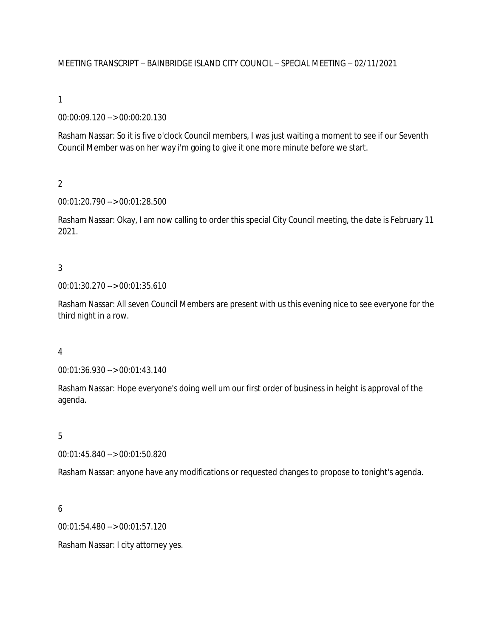### MEETING TRANSCRIPT – BAINBRIDGE ISLAND CITY COUNCIL – SPECIAL MEETING – 02/11/2021

### 1

### 00:00:09.120 --> 00:00:20.130

Rasham Nassar: So it is five o'clock Council members, I was just waiting a moment to see if our Seventh Council Member was on her way i'm going to give it one more minute before we start.

### $\overline{2}$

### 00:01:20.790 --> 00:01:28.500

Rasham Nassar: Okay, I am now calling to order this special City Council meeting, the date is February 11 2021.

### 3

#### 00:01:30.270 --> 00:01:35.610

Rasham Nassar: All seven Council Members are present with us this evening nice to see everyone for the third night in a row.

### 4

00:01:36.930 --> 00:01:43.140

Rasham Nassar: Hope everyone's doing well um our first order of business in height is approval of the agenda.

### 5

00:01:45.840 --> 00:01:50.820

Rasham Nassar: anyone have any modifications or requested changes to propose to tonight's agenda.

### 6

00:01:54.480 --> 00:01:57.120

Rasham Nassar: I city attorney yes.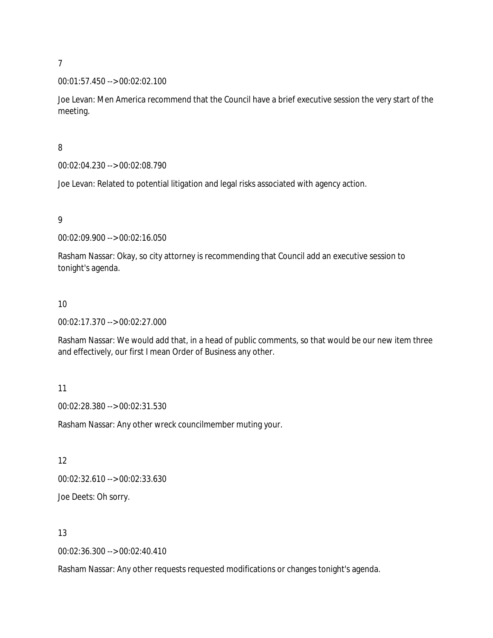### 00:01:57.450 --> 00:02:02.100

Joe Levan: Men America recommend that the Council have a brief executive session the very start of the meeting.

### 8

00:02:04.230 --> 00:02:08.790

Joe Levan: Related to potential litigation and legal risks associated with agency action.

### 9

00:02:09.900 --> 00:02:16.050

Rasham Nassar: Okay, so city attorney is recommending that Council add an executive session to tonight's agenda.

#### 10

00:02:17.370 --> 00:02:27.000

Rasham Nassar: We would add that, in a head of public comments, so that would be our new item three and effectively, our first I mean Order of Business any other.

# 11

00:02:28.380 --> 00:02:31.530

Rasham Nassar: Any other wreck councilmember muting your.

# 12

00:02:32.610 --> 00:02:33.630

Joe Deets: Oh sorry.

# 13

00:02:36.300 --> 00:02:40.410

Rasham Nassar: Any other requests requested modifications or changes tonight's agenda.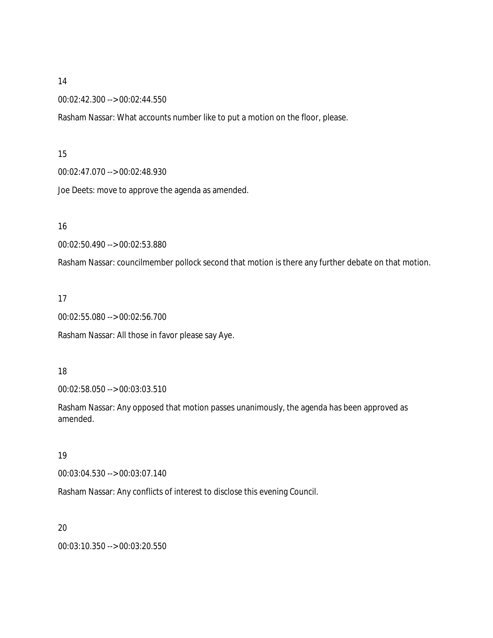00:02:42.300 --> 00:02:44.550

Rasham Nassar: What accounts number like to put a motion on the floor, please.

### 15

00:02:47.070 --> 00:02:48.930

Joe Deets: move to approve the agenda as amended.

### 16

00:02:50.490 --> 00:02:53.880

Rasham Nassar: councilmember pollock second that motion is there any further debate on that motion.

### 17

00:02:55.080 --> 00:02:56.700

Rasham Nassar: All those in favor please say Aye.

### 18

00:02:58.050 --> 00:03:03.510

Rasham Nassar: Any opposed that motion passes unanimously, the agenda has been approved as amended.

### 19

00:03:04.530 --> 00:03:07.140

Rasham Nassar: Any conflicts of interest to disclose this evening Council.

### 20

00:03:10.350 --> 00:03:20.550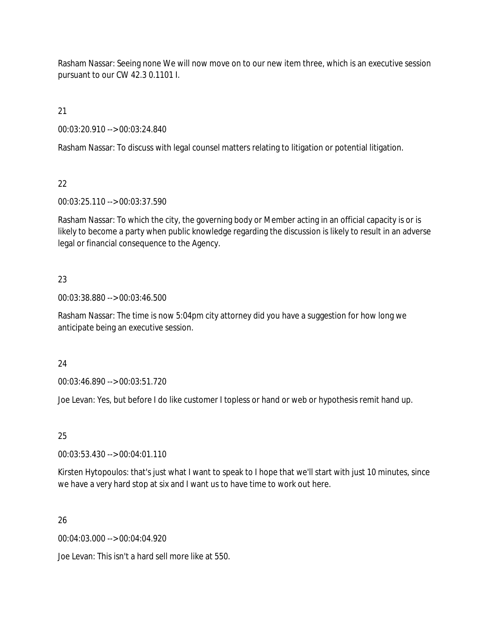Rasham Nassar: Seeing none We will now move on to our new item three, which is an executive session pursuant to our CW 42.3 0.1101 I.

21

00:03:20.910 --> 00:03:24.840

Rasham Nassar: To discuss with legal counsel matters relating to litigation or potential litigation.

# 22

00:03:25.110 --> 00:03:37.590

Rasham Nassar: To which the city, the governing body or Member acting in an official capacity is or is likely to become a party when public knowledge regarding the discussion is likely to result in an adverse legal or financial consequence to the Agency.

# 23

00:03:38.880 --> 00:03:46.500

Rasham Nassar: The time is now 5:04pm city attorney did you have a suggestion for how long we anticipate being an executive session.

# 24

00:03:46.890 --> 00:03:51.720

Joe Levan: Yes, but before I do like customer I topless or hand or web or hypothesis remit hand up.

# 25

00:03:53.430 --> 00:04:01.110

Kirsten Hytopoulos: that's just what I want to speak to I hope that we'll start with just 10 minutes, since we have a very hard stop at six and I want us to have time to work out here.

# 26

00:04:03.000 --> 00:04:04.920

Joe Levan: This isn't a hard sell more like at 550.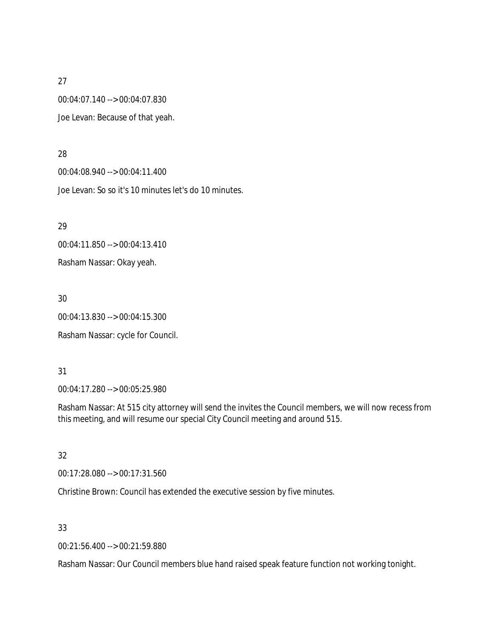00:04:07.140 --> 00:04:07.830 Joe Levan: Because of that yeah.

28

00:04:08.940 --> 00:04:11.400 Joe Levan: So so it's 10 minutes let's do 10 minutes.

29

00:04:11.850 --> 00:04:13.410

Rasham Nassar: Okay yeah.

30

00:04:13.830 --> 00:04:15.300

Rasham Nassar: cycle for Council.

# 31

00:04:17.280 --> 00:05:25.980

Rasham Nassar: At 515 city attorney will send the invites the Council members, we will now recess from this meeting, and will resume our special City Council meeting and around 515.

32

00:17:28.080 --> 00:17:31.560

Christine Brown: Council has extended the executive session by five minutes.

33

00:21:56.400 --> 00:21:59.880

Rasham Nassar: Our Council members blue hand raised speak feature function not working tonight.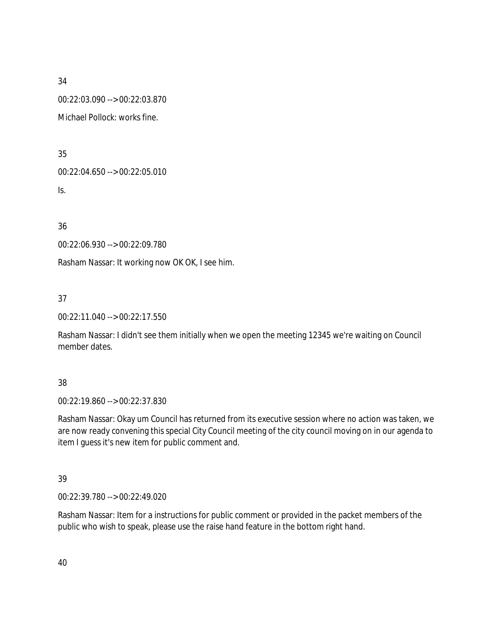00:22:03.090 --> 00:22:03.870

Michael Pollock: works fine.

35

00:22:04.650 --> 00:22:05.010

Is.

36

00:22:06.930 --> 00:22:09.780

Rasham Nassar: It working now OK OK, I see him.

37

00:22:11.040 --> 00:22:17.550

Rasham Nassar: I didn't see them initially when we open the meeting 12345 we're waiting on Council member dates.

# 38

00:22:19.860 --> 00:22:37.830

Rasham Nassar: Okay um Council has returned from its executive session where no action was taken, we are now ready convening this special City Council meeting of the city council moving on in our agenda to item I guess it's new item for public comment and.

# 39

00:22:39.780 --> 00:22:49.020

Rasham Nassar: Item for a instructions for public comment or provided in the packet members of the public who wish to speak, please use the raise hand feature in the bottom right hand.

40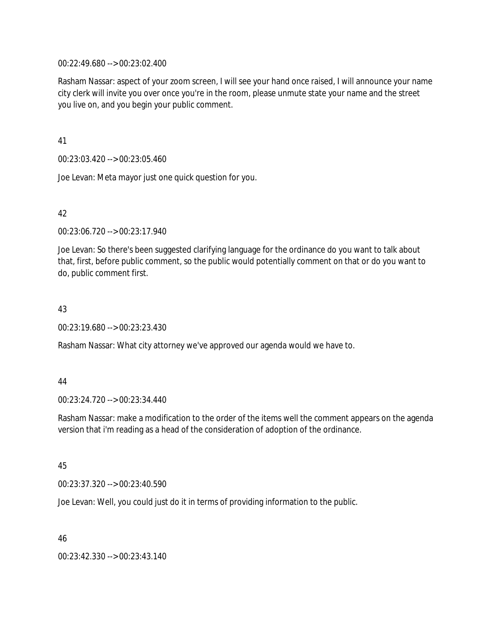00:22:49.680 --> 00:23:02.400

Rasham Nassar: aspect of your zoom screen, I will see your hand once raised, I will announce your name city clerk will invite you over once you're in the room, please unmute state your name and the street you live on, and you begin your public comment.

41

00:23:03.420 --> 00:23:05.460

Joe Levan: Meta mayor just one quick question for you.

# 42

00:23:06.720 --> 00:23:17.940

Joe Levan: So there's been suggested clarifying language for the ordinance do you want to talk about that, first, before public comment, so the public would potentially comment on that or do you want to do, public comment first.

### 43

00:23:19.680 --> 00:23:23.430

Rasham Nassar: What city attorney we've approved our agenda would we have to.

### 44

00:23:24.720 --> 00:23:34.440

Rasham Nassar: make a modification to the order of the items well the comment appears on the agenda version that i'm reading as a head of the consideration of adoption of the ordinance.

### 45

00:23:37.320 --> 00:23:40.590

Joe Levan: Well, you could just do it in terms of providing information to the public.

46

00:23:42.330 --> 00:23:43.140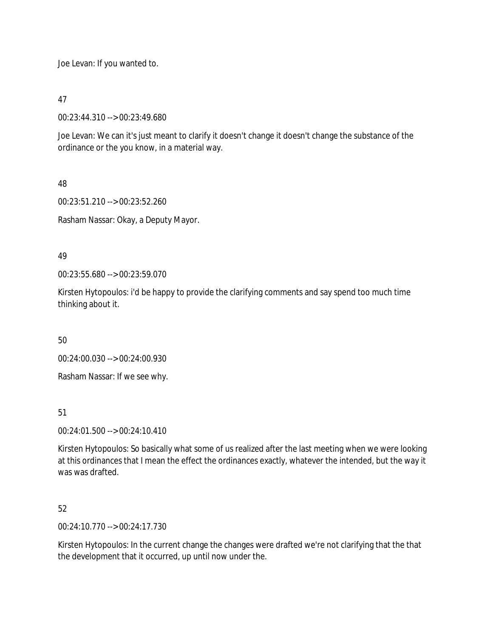Joe Levan: If you wanted to.

47

00:23:44.310 --> 00:23:49.680

Joe Levan: We can it's just meant to clarify it doesn't change it doesn't change the substance of the ordinance or the you know, in a material way.

48

00:23:51.210 --> 00:23:52.260

Rasham Nassar: Okay, a Deputy Mayor.

49

00:23:55.680 --> 00:23:59.070

Kirsten Hytopoulos: i'd be happy to provide the clarifying comments and say spend too much time thinking about it.

50

00:24:00.030 --> 00:24:00.930

Rasham Nassar: If we see why.

51

00:24:01.500 --> 00:24:10.410

Kirsten Hytopoulos: So basically what some of us realized after the last meeting when we were looking at this ordinances that I mean the effect the ordinances exactly, whatever the intended, but the way it was was drafted.

52

00:24:10.770 --> 00:24:17.730

Kirsten Hytopoulos: In the current change the changes were drafted we're not clarifying that the that the development that it occurred, up until now under the.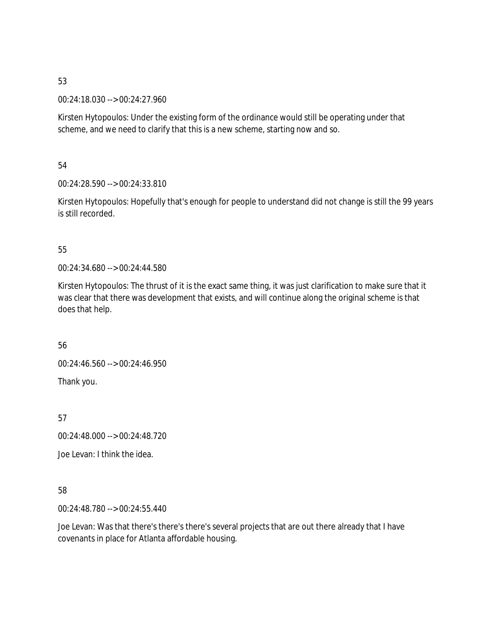00:24:18.030 --> 00:24:27.960

Kirsten Hytopoulos: Under the existing form of the ordinance would still be operating under that scheme, and we need to clarify that this is a new scheme, starting now and so.

54

00:24:28.590 --> 00:24:33.810

Kirsten Hytopoulos: Hopefully that's enough for people to understand did not change is still the 99 years is still recorded.

# 55

00:24:34.680 --> 00:24:44.580

Kirsten Hytopoulos: The thrust of it is the exact same thing, it was just clarification to make sure that it was clear that there was development that exists, and will continue along the original scheme is that does that help.

56

00:24:46.560 --> 00:24:46.950 Thank you.

57

00:24:48.000 --> 00:24:48.720

Joe Levan: I think the idea.

# 58

00:24:48.780 --> 00:24:55.440

Joe Levan: Was that there's there's there's several projects that are out there already that I have covenants in place for Atlanta affordable housing.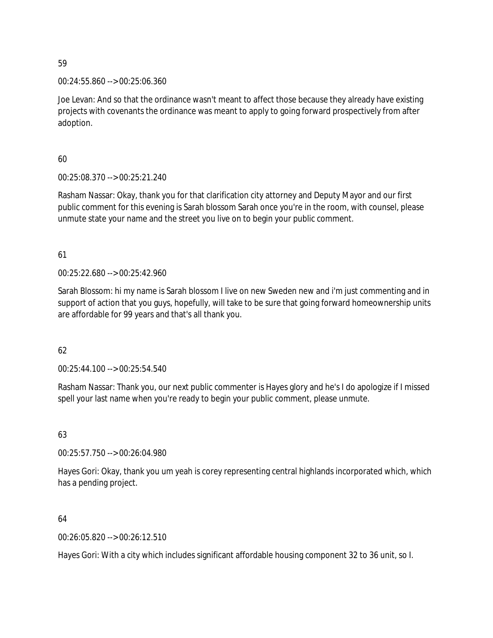00:24:55.860 --> 00:25:06.360

Joe Levan: And so that the ordinance wasn't meant to affect those because they already have existing projects with covenants the ordinance was meant to apply to going forward prospectively from after adoption.

60

00:25:08.370 --> 00:25:21.240

Rasham Nassar: Okay, thank you for that clarification city attorney and Deputy Mayor and our first public comment for this evening is Sarah blossom Sarah once you're in the room, with counsel, please unmute state your name and the street you live on to begin your public comment.

61

00:25:22.680 --> 00:25:42.960

Sarah Blossom: hi my name is Sarah blossom I live on new Sweden new and i'm just commenting and in support of action that you guys, hopefully, will take to be sure that going forward homeownership units are affordable for 99 years and that's all thank you.

62

00:25:44.100 --> 00:25:54.540

Rasham Nassar: Thank you, our next public commenter is Hayes glory and he's I do apologize if I missed spell your last name when you're ready to begin your public comment, please unmute.

# 63

00:25:57.750 --> 00:26:04.980

Hayes Gori: Okay, thank you um yeah is corey representing central highlands incorporated which, which has a pending project.

64

00:26:05.820 --> 00:26:12.510

Hayes Gori: With a city which includes significant affordable housing component 32 to 36 unit, so I.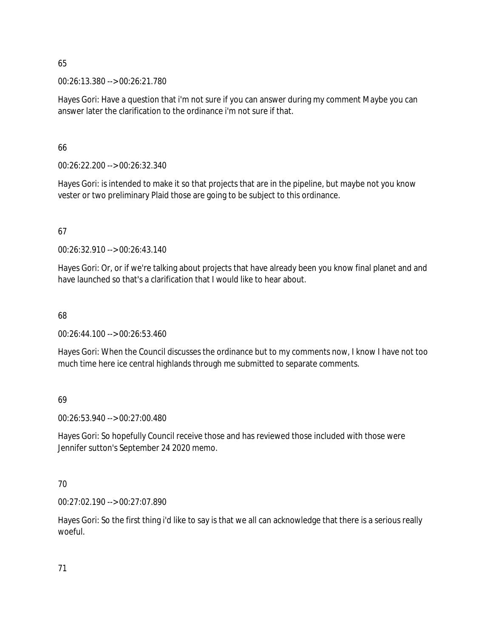00:26:13.380 --> 00:26:21.780

Hayes Gori: Have a question that i'm not sure if you can answer during my comment Maybe you can answer later the clarification to the ordinance i'm not sure if that.

66

00:26:22.200 --> 00:26:32.340

Hayes Gori: is intended to make it so that projects that are in the pipeline, but maybe not you know vester or two preliminary Plaid those are going to be subject to this ordinance.

# 67

00:26:32.910 --> 00:26:43.140

Hayes Gori: Or, or if we're talking about projects that have already been you know final planet and and have launched so that's a clarification that I would like to hear about.

# 68

00:26:44.100 --> 00:26:53.460

Hayes Gori: When the Council discusses the ordinance but to my comments now, I know I have not too much time here ice central highlands through me submitted to separate comments.

# 69

00:26:53.940 --> 00:27:00.480

Hayes Gori: So hopefully Council receive those and has reviewed those included with those were Jennifer sutton's September 24 2020 memo.

# 70

00:27:02.190 --> 00:27:07.890

Hayes Gori: So the first thing i'd like to say is that we all can acknowledge that there is a serious really woeful.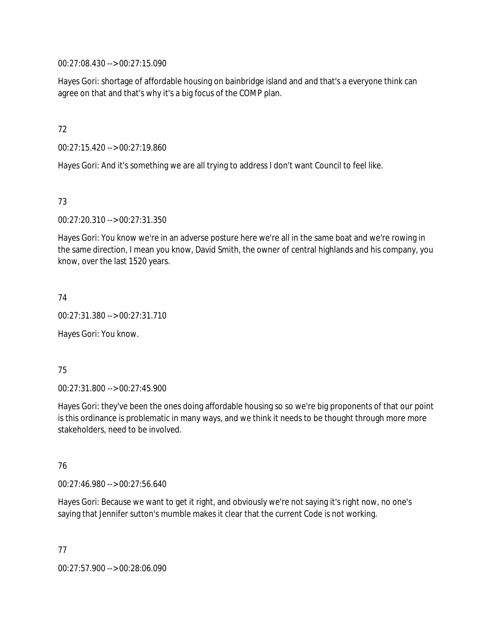00:27:08.430 --> 00:27:15.090

Hayes Gori: shortage of affordable housing on bainbridge island and and that's a everyone think can agree on that and that's why it's a big focus of the COMP plan.

72

00:27:15.420 --> 00:27:19.860

Hayes Gori: And it's something we are all trying to address I don't want Council to feel like.

73

00:27:20.310 --> 00:27:31.350

Hayes Gori: You know we're in an adverse posture here we're all in the same boat and we're rowing in the same direction, I mean you know, David Smith, the owner of central highlands and his company, you know, over the last 1520 years.

74

00:27:31.380 --> 00:27:31.710

Hayes Gori: You know.

75

00:27:31.800 --> 00:27:45.900

Hayes Gori: they've been the ones doing affordable housing so so we're big proponents of that our point is this ordinance is problematic in many ways, and we think it needs to be thought through more more stakeholders, need to be involved.

76

00:27:46.980 --> 00:27:56.640

Hayes Gori: Because we want to get it right, and obviously we're not saying it's right now, no one's saying that Jennifer sutton's mumble makes it clear that the current Code is not working.

77 00:27:57.900 --> 00:28:06.090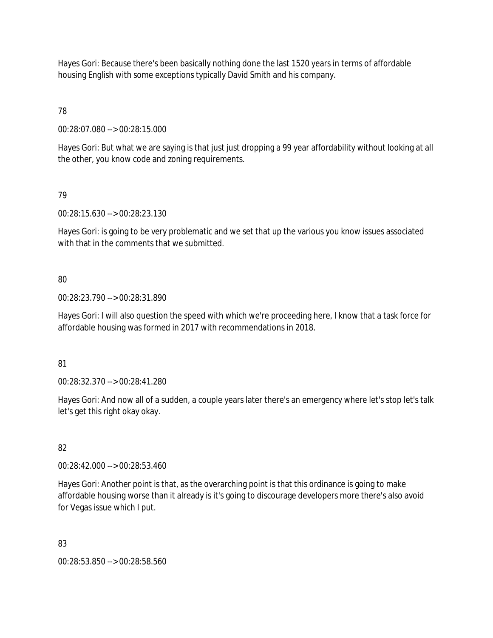Hayes Gori: Because there's been basically nothing done the last 1520 years in terms of affordable housing English with some exceptions typically David Smith and his company.

78

00:28:07.080 --> 00:28:15.000

Hayes Gori: But what we are saying is that just just dropping a 99 year affordability without looking at all the other, you know code and zoning requirements.

79

00:28:15.630 --> 00:28:23.130

Hayes Gori: is going to be very problematic and we set that up the various you know issues associated with that in the comments that we submitted.

80

00:28:23.790 --> 00:28:31.890

Hayes Gori: I will also question the speed with which we're proceeding here, I know that a task force for affordable housing was formed in 2017 with recommendations in 2018.

81

00:28:32.370 --> 00:28:41.280

Hayes Gori: And now all of a sudden, a couple years later there's an emergency where let's stop let's talk let's get this right okay okay.

82

00:28:42.000 --> 00:28:53.460

Hayes Gori: Another point is that, as the overarching point is that this ordinance is going to make affordable housing worse than it already is it's going to discourage developers more there's also avoid for Vegas issue which I put.

83

00:28:53.850 --> 00:28:58.560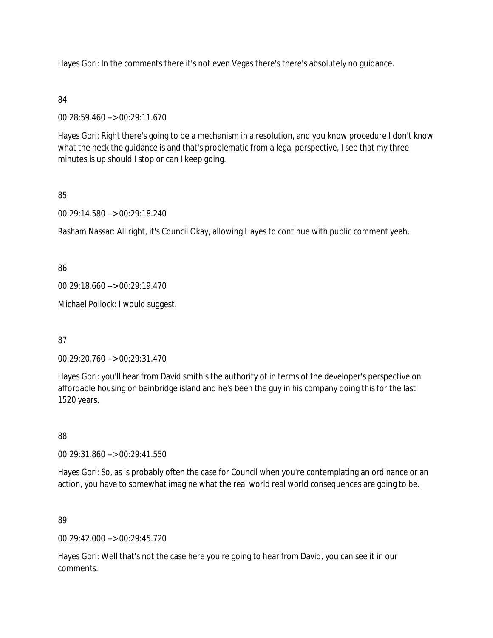Hayes Gori: In the comments there it's not even Vegas there's there's absolutely no guidance.

### 84

00:28:59.460 --> 00:29:11.670

Hayes Gori: Right there's going to be a mechanism in a resolution, and you know procedure I don't know what the heck the guidance is and that's problematic from a legal perspective, I see that my three minutes is up should I stop or can I keep going.

# 85

00:29:14.580 --> 00:29:18.240

Rasham Nassar: All right, it's Council Okay, allowing Hayes to continue with public comment yeah.

### 86

00:29:18.660 --> 00:29:19.470

Michael Pollock: I would suggest.

### 87

00:29:20.760 --> 00:29:31.470

Hayes Gori: you'll hear from David smith's the authority of in terms of the developer's perspective on affordable housing on bainbridge island and he's been the guy in his company doing this for the last 1520 years.

# 88

00:29:31.860 --> 00:29:41.550

Hayes Gori: So, as is probably often the case for Council when you're contemplating an ordinance or an action, you have to somewhat imagine what the real world real world consequences are going to be.

# 89

 $0.00:29:42.000 -5.00:29:45.720$ 

Hayes Gori: Well that's not the case here you're going to hear from David, you can see it in our comments.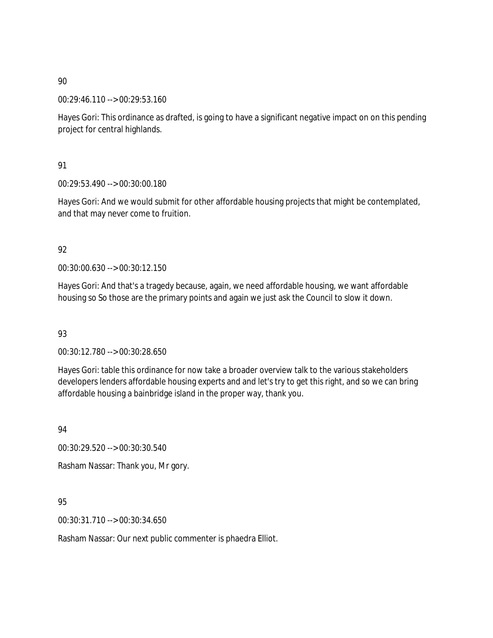00:29:46.110 --> 00:29:53.160

Hayes Gori: This ordinance as drafted, is going to have a significant negative impact on on this pending project for central highlands.

# 91

00:29:53.490 --> 00:30:00.180

Hayes Gori: And we would submit for other affordable housing projects that might be contemplated, and that may never come to fruition.

# 92

00:30:00.630 --> 00:30:12.150

Hayes Gori: And that's a tragedy because, again, we need affordable housing, we want affordable housing so So those are the primary points and again we just ask the Council to slow it down.

# 93

00:30:12.780 --> 00:30:28.650

Hayes Gori: table this ordinance for now take a broader overview talk to the various stakeholders developers lenders affordable housing experts and and let's try to get this right, and so we can bring affordable housing a bainbridge island in the proper way, thank you.

94

00:30:29.520 --> 00:30:30.540

Rasham Nassar: Thank you, Mr gory.

# 95

00:30:31.710 --> 00:30:34.650

Rasham Nassar: Our next public commenter is phaedra Elliot.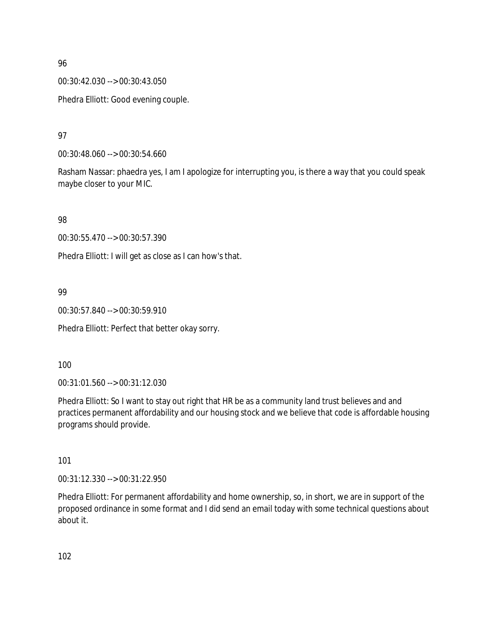00:30:42.030 --> 00:30:43.050

Phedra Elliott: Good evening couple.

97

00:30:48.060 --> 00:30:54.660

Rasham Nassar: phaedra yes, I am I apologize for interrupting you, is there a way that you could speak maybe closer to your MIC.

98

00:30:55.470 --> 00:30:57.390

Phedra Elliott: I will get as close as I can how's that.

# 99

00:30:57.840 --> 00:30:59.910

Phedra Elliott: Perfect that better okay sorry.

100

00:31:01.560 --> 00:31:12.030

Phedra Elliott: So I want to stay out right that HR be as a community land trust believes and and practices permanent affordability and our housing stock and we believe that code is affordable housing programs should provide.

101

00:31:12.330 --> 00:31:22.950

Phedra Elliott: For permanent affordability and home ownership, so, in short, we are in support of the proposed ordinance in some format and I did send an email today with some technical questions about about it.

102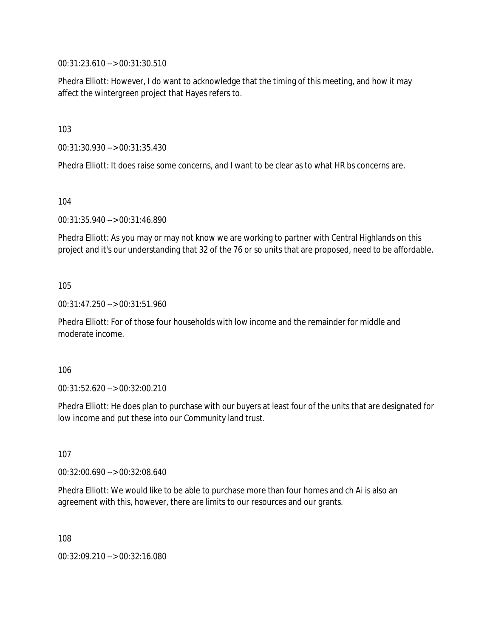00:31:23.610 --> 00:31:30.510

Phedra Elliott: However, I do want to acknowledge that the timing of this meeting, and how it may affect the wintergreen project that Hayes refers to.

103

00:31:30.930 --> 00:31:35.430

Phedra Elliott: It does raise some concerns, and I want to be clear as to what HR bs concerns are.

104

00:31:35.940 --> 00:31:46.890

Phedra Elliott: As you may or may not know we are working to partner with Central Highlands on this project and it's our understanding that 32 of the 76 or so units that are proposed, need to be affordable.

105

00:31:47.250 --> 00:31:51.960

Phedra Elliott: For of those four households with low income and the remainder for middle and moderate income.

106

00:31:52.620 --> 00:32:00.210

Phedra Elliott: He does plan to purchase with our buyers at least four of the units that are designated for low income and put these into our Community land trust.

107

00:32:00.690 --> 00:32:08.640

Phedra Elliott: We would like to be able to purchase more than four homes and ch Ai is also an agreement with this, however, there are limits to our resources and our grants.

108

00:32:09.210 --> 00:32:16.080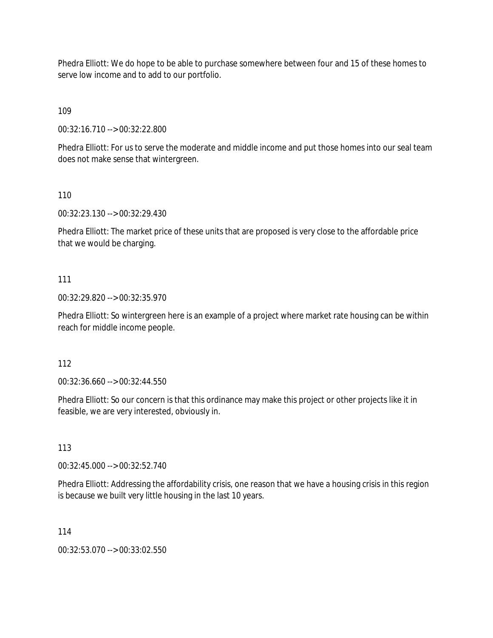Phedra Elliott: We do hope to be able to purchase somewhere between four and 15 of these homes to serve low income and to add to our portfolio.

109

00:32:16.710 --> 00:32:22.800

Phedra Elliott: For us to serve the moderate and middle income and put those homes into our seal team does not make sense that wintergreen.

110

00:32:23.130 --> 00:32:29.430

Phedra Elliott: The market price of these units that are proposed is very close to the affordable price that we would be charging.

### 111

00:32:29.820 --> 00:32:35.970

Phedra Elliott: So wintergreen here is an example of a project where market rate housing can be within reach for middle income people.

### 112

00:32:36.660 --> 00:32:44.550

Phedra Elliott: So our concern is that this ordinance may make this project or other projects like it in feasible, we are very interested, obviously in.

113

00:32:45.000 --> 00:32:52.740

Phedra Elliott: Addressing the affordability crisis, one reason that we have a housing crisis in this region is because we built very little housing in the last 10 years.

114

00:32:53.070 --> 00:33:02.550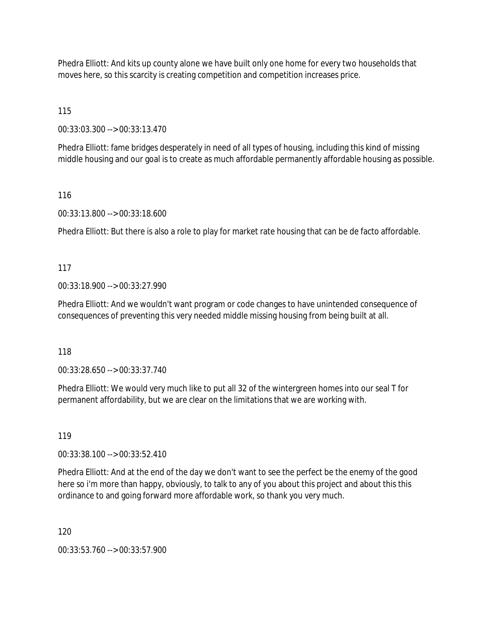Phedra Elliott: And kits up county alone we have built only one home for every two households that moves here, so this scarcity is creating competition and competition increases price.

115

00:33:03.300 --> 00:33:13.470

Phedra Elliott: fame bridges desperately in need of all types of housing, including this kind of missing middle housing and our goal is to create as much affordable permanently affordable housing as possible.

### 116

00:33:13.800 --> 00:33:18.600

Phedra Elliott: But there is also a role to play for market rate housing that can be de facto affordable.

### 117

00:33:18.900 --> 00:33:27.990

Phedra Elliott: And we wouldn't want program or code changes to have unintended consequence of consequences of preventing this very needed middle missing housing from being built at all.

118

00:33:28.650 --> 00:33:37.740

Phedra Elliott: We would very much like to put all 32 of the wintergreen homes into our seal T for permanent affordability, but we are clear on the limitations that we are working with.

### 119

00:33:38.100 --> 00:33:52.410

Phedra Elliott: And at the end of the day we don't want to see the perfect be the enemy of the good here so i'm more than happy, obviously, to talk to any of you about this project and about this this ordinance to and going forward more affordable work, so thank you very much.

120

00:33:53.760 --> 00:33:57.900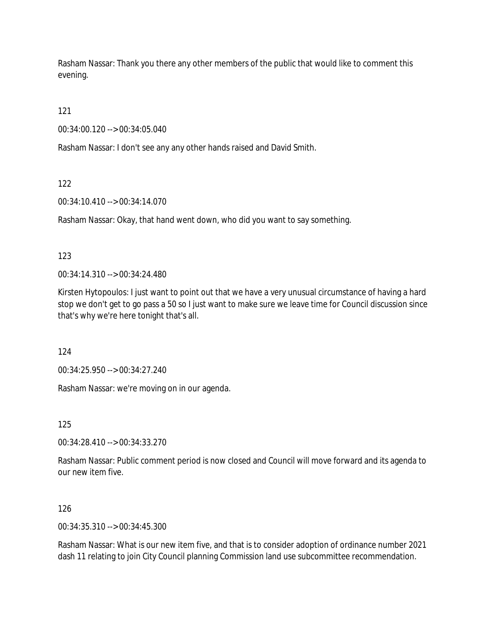Rasham Nassar: Thank you there any other members of the public that would like to comment this evening.

121

00:34:00.120 --> 00:34:05.040

Rasham Nassar: I don't see any any other hands raised and David Smith.

122

00:34:10.410 --> 00:34:14.070

Rasham Nassar: Okay, that hand went down, who did you want to say something.

123

00:34:14.310 --> 00:34:24.480

Kirsten Hytopoulos: I just want to point out that we have a very unusual circumstance of having a hard stop we don't get to go pass a 50 so I just want to make sure we leave time for Council discussion since that's why we're here tonight that's all.

124

00:34:25.950 --> 00:34:27.240

Rasham Nassar: we're moving on in our agenda.

125

00:34:28.410 --> 00:34:33.270

Rasham Nassar: Public comment period is now closed and Council will move forward and its agenda to our new item five.

126

00:34:35.310 --> 00:34:45.300

Rasham Nassar: What is our new item five, and that is to consider adoption of ordinance number 2021 dash 11 relating to join City Council planning Commission land use subcommittee recommendation.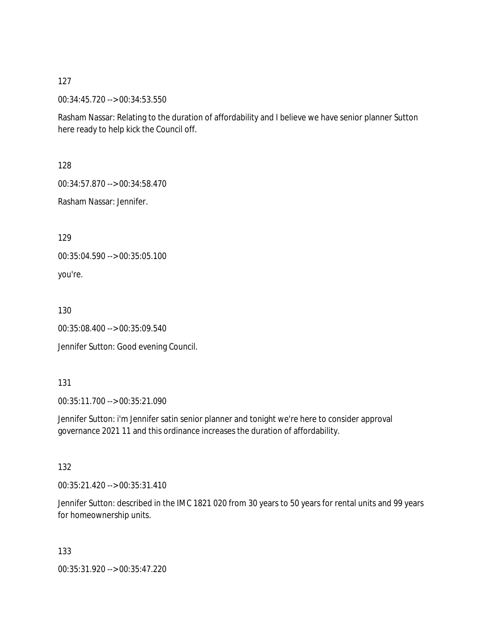00:34:45.720 --> 00:34:53.550

Rasham Nassar: Relating to the duration of affordability and I believe we have senior planner Sutton here ready to help kick the Council off.

128

00:34:57.870 --> 00:34:58.470

Rasham Nassar: Jennifer.

129

00:35:04.590 --> 00:35:05.100

you're.

130

00:35:08.400 --> 00:35:09.540

Jennifer Sutton: Good evening Council.

131

00:35:11.700 --> 00:35:21.090

Jennifer Sutton: i'm Jennifer satin senior planner and tonight we're here to consider approval governance 2021 11 and this ordinance increases the duration of affordability.

132

00:35:21.420 --> 00:35:31.410

Jennifer Sutton: described in the IMC 1821 020 from 30 years to 50 years for rental units and 99 years for homeownership units.

133

00:35:31.920 --> 00:35:47.220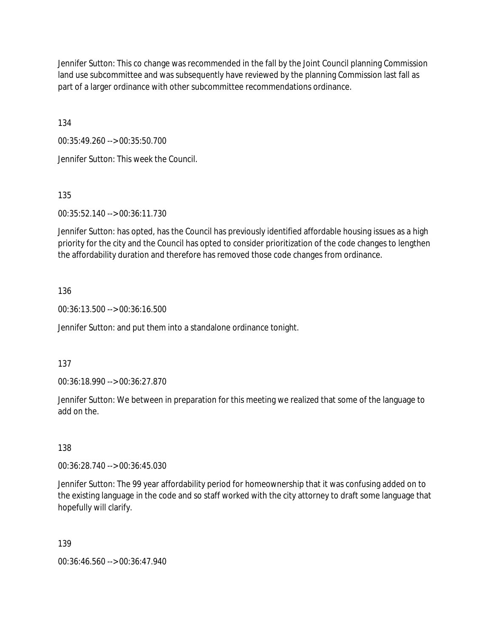Jennifer Sutton: This co change was recommended in the fall by the Joint Council planning Commission land use subcommittee and was subsequently have reviewed by the planning Commission last fall as part of a larger ordinance with other subcommittee recommendations ordinance.

134

00:35:49.260 --> 00:35:50.700

Jennifer Sutton: This week the Council.

135

00:35:52.140 --> 00:36:11.730

Jennifer Sutton: has opted, has the Council has previously identified affordable housing issues as a high priority for the city and the Council has opted to consider prioritization of the code changes to lengthen the affordability duration and therefore has removed those code changes from ordinance.

### 136

00:36:13.500 --> 00:36:16.500

Jennifer Sutton: and put them into a standalone ordinance tonight.

### 137

00:36:18.990 --> 00:36:27.870

Jennifer Sutton: We between in preparation for this meeting we realized that some of the language to add on the.

### 138

00:36:28.740 --> 00:36:45.030

Jennifer Sutton: The 99 year affordability period for homeownership that it was confusing added on to the existing language in the code and so staff worked with the city attorney to draft some language that hopefully will clarify.

### 139

00:36:46.560 --> 00:36:47.940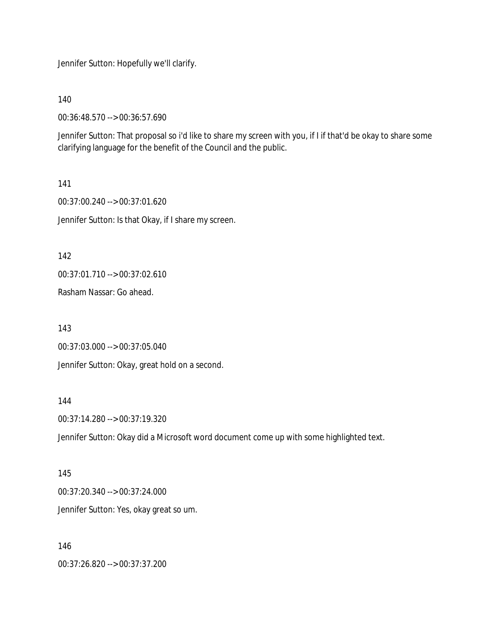Jennifer Sutton: Hopefully we'll clarify.

140

00:36:48.570 --> 00:36:57.690

Jennifer Sutton: That proposal so i'd like to share my screen with you, if I if that'd be okay to share some clarifying language for the benefit of the Council and the public.

141 00:37:00.240 --> 00:37:01.620 Jennifer Sutton: Is that Okay, if I share my screen.

142

00:37:01.710 --> 00:37:02.610

Rasham Nassar: Go ahead.

143

00:37:03.000 --> 00:37:05.040

Jennifer Sutton: Okay, great hold on a second.

144

00:37:14.280 --> 00:37:19.320

Jennifer Sutton: Okay did a Microsoft word document come up with some highlighted text.

145 00:37:20.340 --> 00:37:24.000 Jennifer Sutton: Yes, okay great so um.

146 00:37:26.820 --> 00:37:37.200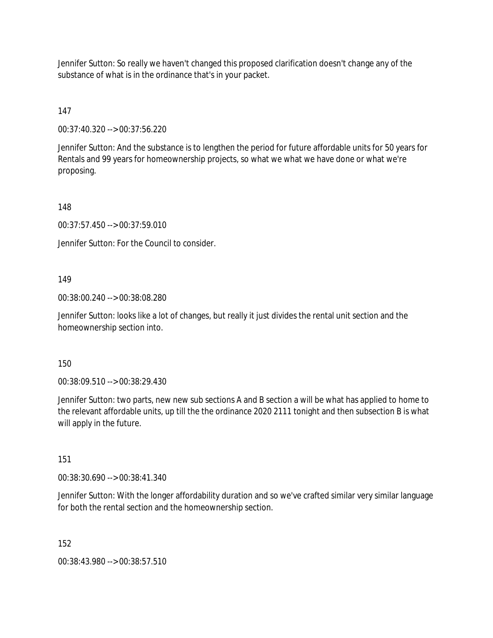Jennifer Sutton: So really we haven't changed this proposed clarification doesn't change any of the substance of what is in the ordinance that's in your packet.

147

00:37:40.320 --> 00:37:56.220

Jennifer Sutton: And the substance is to lengthen the period for future affordable units for 50 years for Rentals and 99 years for homeownership projects, so what we what we have done or what we're proposing.

148

00:37:57.450 --> 00:37:59.010

Jennifer Sutton: For the Council to consider.

### 149

00:38:00.240 --> 00:38:08.280

Jennifer Sutton: looks like a lot of changes, but really it just divides the rental unit section and the homeownership section into.

150

00:38:09.510 --> 00:38:29.430

Jennifer Sutton: two parts, new new sub sections A and B section a will be what has applied to home to the relevant affordable units, up till the the ordinance 2020 2111 tonight and then subsection B is what will apply in the future.

151

00:38:30.690 --> 00:38:41.340

Jennifer Sutton: With the longer affordability duration and so we've crafted similar very similar language for both the rental section and the homeownership section.

152

00:38:43.980 --> 00:38:57.510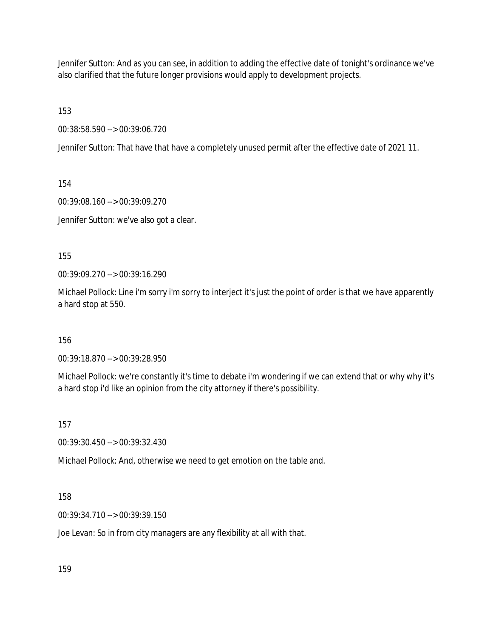Jennifer Sutton: And as you can see, in addition to adding the effective date of tonight's ordinance we've also clarified that the future longer provisions would apply to development projects.

153

00:38:58.590 --> 00:39:06.720

Jennifer Sutton: That have that have a completely unused permit after the effective date of 2021 11.

154

00:39:08.160 --> 00:39:09.270

Jennifer Sutton: we've also got a clear.

155

00:39:09.270 --> 00:39:16.290

Michael Pollock: Line i'm sorry i'm sorry to interject it's just the point of order is that we have apparently a hard stop at 550.

156

00:39:18.870 --> 00:39:28.950

Michael Pollock: we're constantly it's time to debate i'm wondering if we can extend that or why why it's a hard stop i'd like an opinion from the city attorney if there's possibility.

157

00:39:30.450 --> 00:39:32.430

Michael Pollock: And, otherwise we need to get emotion on the table and.

158

00:39:34.710 --> 00:39:39.150

Joe Levan: So in from city managers are any flexibility at all with that.

159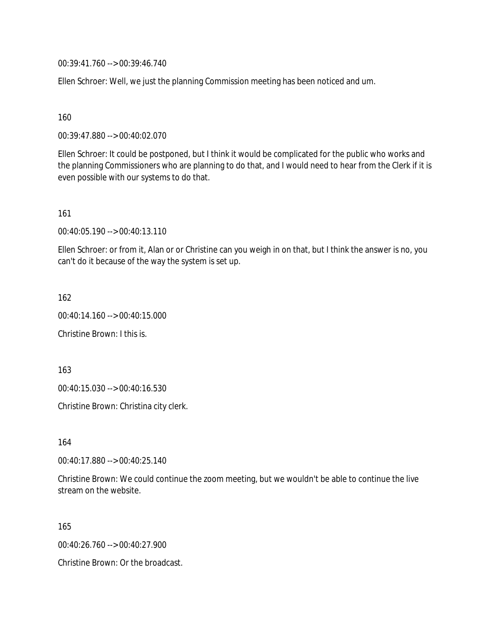00:39:41.760 --> 00:39:46.740

Ellen Schroer: Well, we just the planning Commission meeting has been noticed and um.

160

00:39:47.880 --> 00:40:02.070

Ellen Schroer: It could be postponed, but I think it would be complicated for the public who works and the planning Commissioners who are planning to do that, and I would need to hear from the Clerk if it is even possible with our systems to do that.

161

00:40:05.190 --> 00:40:13.110

Ellen Schroer: or from it, Alan or or Christine can you weigh in on that, but I think the answer is no, you can't do it because of the way the system is set up.

162

00:40:14.160 --> 00:40:15.000

Christine Brown: I this is.

163

00:40:15.030 --> 00:40:16.530

Christine Brown: Christina city clerk.

164

00:40:17.880 --> 00:40:25.140

Christine Brown: We could continue the zoom meeting, but we wouldn't be able to continue the live stream on the website.

165

00:40:26.760 --> 00:40:27.900

Christine Brown: Or the broadcast.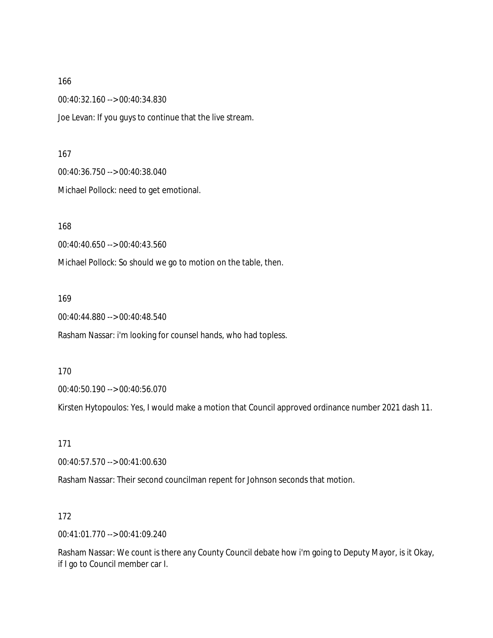00:40:32.160 --> 00:40:34.830

Joe Levan: If you guys to continue that the live stream.

167

00:40:36.750 --> 00:40:38.040

Michael Pollock: need to get emotional.

168

00:40:40.650 --> 00:40:43.560

Michael Pollock: So should we go to motion on the table, then.

169

00:40:44.880 --> 00:40:48.540

Rasham Nassar: i'm looking for counsel hands, who had topless.

170

00:40:50.190 --> 00:40:56.070

Kirsten Hytopoulos: Yes, I would make a motion that Council approved ordinance number 2021 dash 11.

171

00:40:57.570 --> 00:41:00.630

Rasham Nassar: Their second councilman repent for Johnson seconds that motion.

172

00:41:01.770 --> 00:41:09.240

Rasham Nassar: We count is there any County Council debate how i'm going to Deputy Mayor, is it Okay, if I go to Council member car I.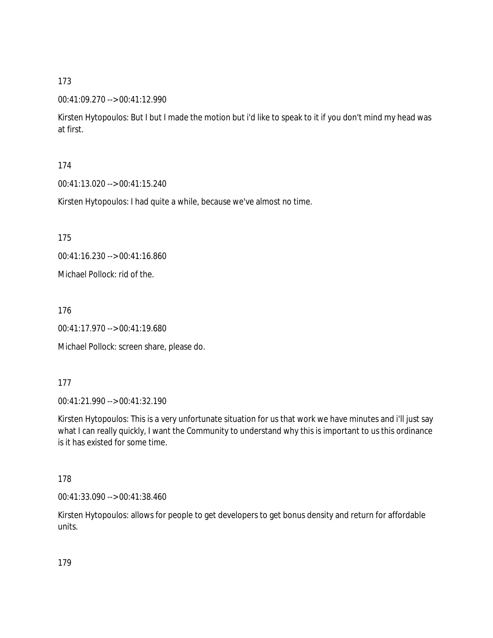### 00:41:09.270 --> 00:41:12.990

Kirsten Hytopoulos: But I but I made the motion but i'd like to speak to it if you don't mind my head was at first.

### 174

00:41:13.020 --> 00:41:15.240

Kirsten Hytopoulos: I had quite a while, because we've almost no time.

175

00:41:16.230 --> 00:41:16.860

Michael Pollock: rid of the.

176

00:41:17.970 --> 00:41:19.680

Michael Pollock: screen share, please do.

### 177

00:41:21.990 --> 00:41:32.190

Kirsten Hytopoulos: This is a very unfortunate situation for us that work we have minutes and i'll just say what I can really quickly, I want the Community to understand why this is important to us this ordinance is it has existed for some time.

# 178

00:41:33.090 --> 00:41:38.460

Kirsten Hytopoulos: allows for people to get developers to get bonus density and return for affordable units.

179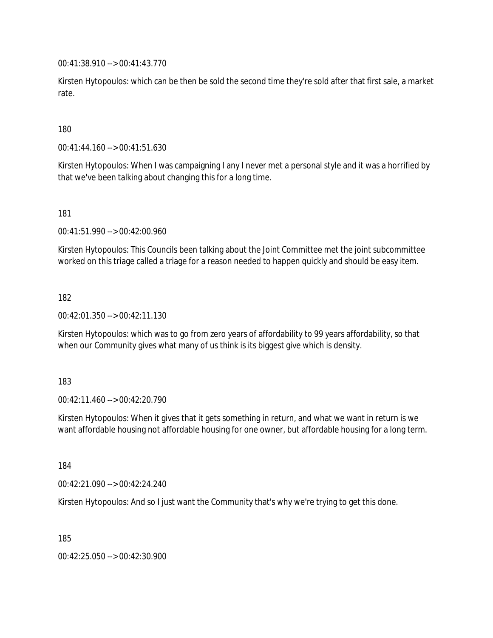00:41:38.910 --> 00:41:43.770

Kirsten Hytopoulos: which can be then be sold the second time they're sold after that first sale, a market rate.

180

00:41:44.160 --> 00:41:51.630

Kirsten Hytopoulos: When I was campaigning I any I never met a personal style and it was a horrified by that we've been talking about changing this for a long time.

181

00:41:51.990 --> 00:42:00.960

Kirsten Hytopoulos: This Councils been talking about the Joint Committee met the joint subcommittee worked on this triage called a triage for a reason needed to happen quickly and should be easy item.

182

00:42:01.350 --> 00:42:11.130

Kirsten Hytopoulos: which was to go from zero years of affordability to 99 years affordability, so that when our Community gives what many of us think is its biggest give which is density.

183

00:42:11.460 --> 00:42:20.790

Kirsten Hytopoulos: When it gives that it gets something in return, and what we want in return is we want affordable housing not affordable housing for one owner, but affordable housing for a long term.

184

00:42:21.090 --> 00:42:24.240

Kirsten Hytopoulos: And so I just want the Community that's why we're trying to get this done.

185

00:42:25.050 --> 00:42:30.900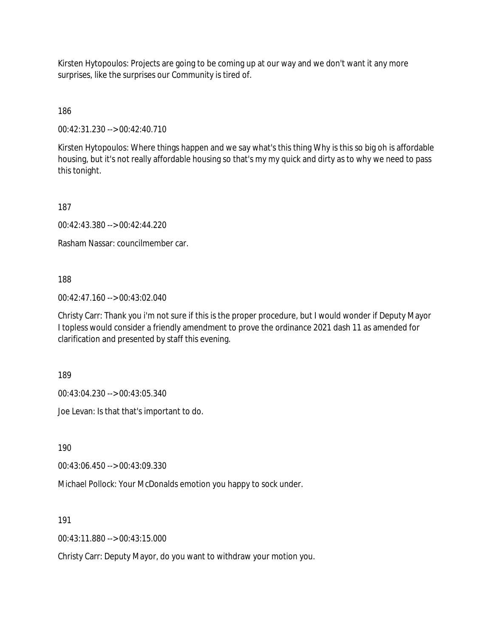Kirsten Hytopoulos: Projects are going to be coming up at our way and we don't want it any more surprises, like the surprises our Community is tired of.

186

00:42:31.230 --> 00:42:40.710

Kirsten Hytopoulos: Where things happen and we say what's this thing Why is this so big oh is affordable housing, but it's not really affordable housing so that's my my quick and dirty as to why we need to pass this tonight.

187

00:42:43.380 --> 00:42:44.220

Rasham Nassar: councilmember car.

188

00:42:47.160 --> 00:43:02.040

Christy Carr: Thank you i'm not sure if this is the proper procedure, but I would wonder if Deputy Mayor I topless would consider a friendly amendment to prove the ordinance 2021 dash 11 as amended for clarification and presented by staff this evening.

189

00:43:04.230 --> 00:43:05.340

Joe Levan: Is that that's important to do.

190

00:43:06.450 --> 00:43:09.330

Michael Pollock: Your McDonalds emotion you happy to sock under.

191

00:43:11.880 --> 00:43:15.000

Christy Carr: Deputy Mayor, do you want to withdraw your motion you.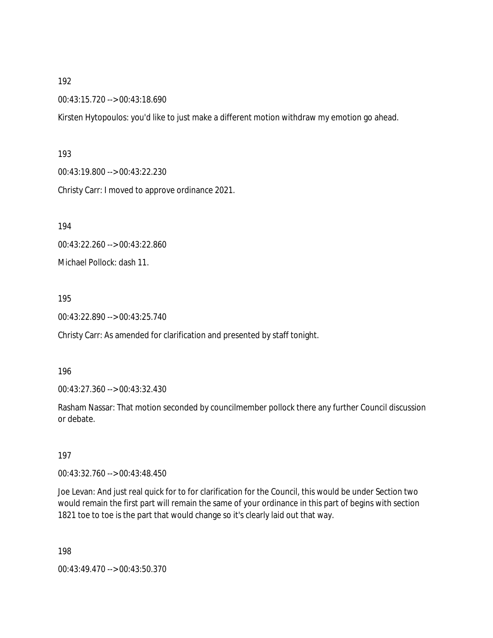00:43:15.720 --> 00:43:18.690

Kirsten Hytopoulos: you'd like to just make a different motion withdraw my emotion go ahead.

#### 193

00:43:19.800 --> 00:43:22.230 Christy Carr: I moved to approve ordinance 2021.

194

00:43:22.260 --> 00:43:22.860

Michael Pollock: dash 11.

### 195

00:43:22.890 --> 00:43:25.740

Christy Carr: As amended for clarification and presented by staff tonight.

### 196

00:43:27.360 --> 00:43:32.430

Rasham Nassar: That motion seconded by councilmember pollock there any further Council discussion or debate.

# 197

00:43:32.760 --> 00:43:48.450

Joe Levan: And just real quick for to for clarification for the Council, this would be under Section two would remain the first part will remain the same of your ordinance in this part of begins with section 1821 toe to toe is the part that would change so it's clearly laid out that way.

198

00:43:49.470 --> 00:43:50.370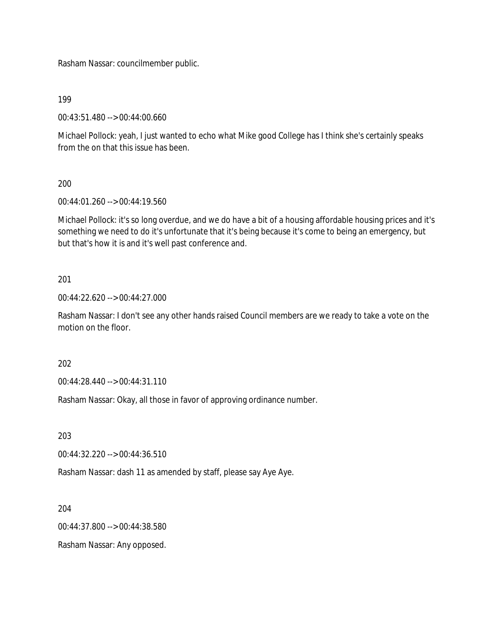Rasham Nassar: councilmember public.

199

00:43:51.480 --> 00:44:00.660

Michael Pollock: yeah, I just wanted to echo what Mike good College has I think she's certainly speaks from the on that this issue has been.

200

00:44:01.260 --> 00:44:19.560

Michael Pollock: it's so long overdue, and we do have a bit of a housing affordable housing prices and it's something we need to do it's unfortunate that it's being because it's come to being an emergency, but but that's how it is and it's well past conference and.

201

00:44:22.620 --> 00:44:27.000

Rasham Nassar: I don't see any other hands raised Council members are we ready to take a vote on the motion on the floor.

202

00:44:28.440 --> 00:44:31.110

Rasham Nassar: Okay, all those in favor of approving ordinance number.

203

00:44:32.220 --> 00:44:36.510

Rasham Nassar: dash 11 as amended by staff, please say Aye Aye.

204

00:44:37.800 --> 00:44:38.580

Rasham Nassar: Any opposed.